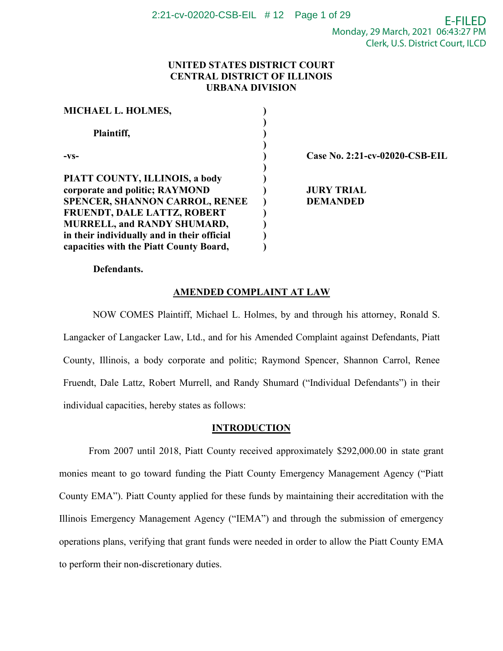## **UNITED STATES DISTRICT COURT CENTRAL DISTRICT OF ILLINOIS URBANA DIVISION**

| MICHAEL L. HOLMES,                          |                                |
|---------------------------------------------|--------------------------------|
| Plaintiff,                                  |                                |
| $-VS-$                                      | Case No. 2:21-cv-02020-CSB-EIL |
| PIATT COUNTY, ILLINOIS, a body              |                                |
| corporate and politic; RAYMOND              | <b>JURY TRIAL</b>              |
| <b>SPENCER, SHANNON CARROL, RENEE</b>       | <b>DEMANDED</b>                |
| <b>FRUENDT, DALE LATTZ, ROBERT</b>          |                                |
| <b>MURRELL, and RANDY SHUMARD,</b>          |                                |
| in their individually and in their official |                                |
| capacities with the Piatt County Board,     |                                |

**Defendants.**

# **AMENDED COMPLAINT AT LAW**

NOW COMES Plaintiff, Michael L. Holmes, by and through his attorney, Ronald S. Langacker of Langacker Law, Ltd., and for his Amended Complaint against Defendants, Piatt County, Illinois, a body corporate and politic; Raymond Spencer, Shannon Carrol, Renee Fruendt, Dale Lattz, Robert Murrell, and Randy Shumard ("Individual Defendants") in their individual capacities, hereby states as follows:

### **INTRODUCTION**

From 2007 until 2018, Piatt County received approximately \$292,000.00 in state grant monies meant to go toward funding the Piatt County Emergency Management Agency ("Piatt County EMA"). Piatt County applied for these funds by maintaining their accreditation with the Illinois Emergency Management Agency ("IEMA") and through the submission of emergency operations plans, verifying that grant funds were needed in order to allow the Piatt County EMA to perform their non-discretionary duties.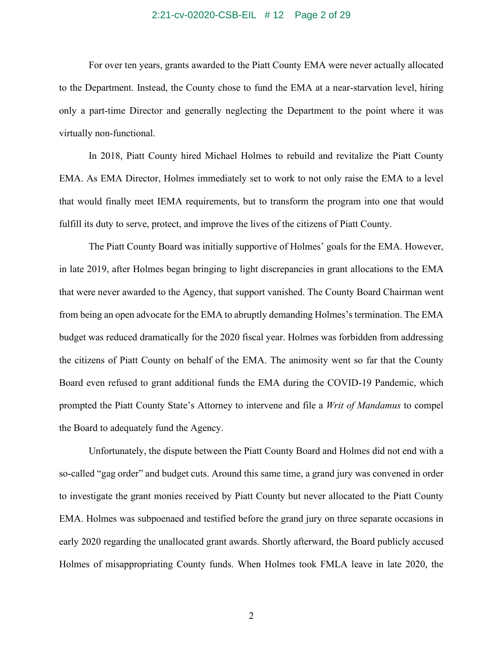#### 2:21-cv-02020-CSB-EIL # 12 Page 2 of 29

For over ten years, grants awarded to the Piatt County EMA were never actually allocated to the Department. Instead, the County chose to fund the EMA at a near-starvation level, hiring only a part-time Director and generally neglecting the Department to the point where it was virtually non-functional.

In 2018, Piatt County hired Michael Holmes to rebuild and revitalize the Piatt County EMA. As EMA Director, Holmes immediately set to work to not only raise the EMA to a level that would finally meet IEMA requirements, but to transform the program into one that would fulfill its duty to serve, protect, and improve the lives of the citizens of Piatt County.

The Piatt County Board was initially supportive of Holmes' goals for the EMA. However, in late 2019, after Holmes began bringing to light discrepancies in grant allocations to the EMA that were never awarded to the Agency, that support vanished. The County Board Chairman went from being an open advocate for the EMA to abruptly demanding Holmes's termination. The EMA budget was reduced dramatically for the 2020 fiscal year. Holmes was forbidden from addressing the citizens of Piatt County on behalf of the EMA. The animosity went so far that the County Board even refused to grant additional funds the EMA during the COVID-19 Pandemic, which prompted the Piatt County State's Attorney to intervene and file a *Writ of Mandamus* to compel the Board to adequately fund the Agency.

Unfortunately, the dispute between the Piatt County Board and Holmes did not end with a so-called "gag order" and budget cuts. Around this same time, a grand jury was convened in order to investigate the grant monies received by Piatt County but never allocated to the Piatt County EMA. Holmes was subpoenaed and testified before the grand jury on three separate occasions in early 2020 regarding the unallocated grant awards. Shortly afterward, the Board publicly accused Holmes of misappropriating County funds. When Holmes took FMLA leave in late 2020, the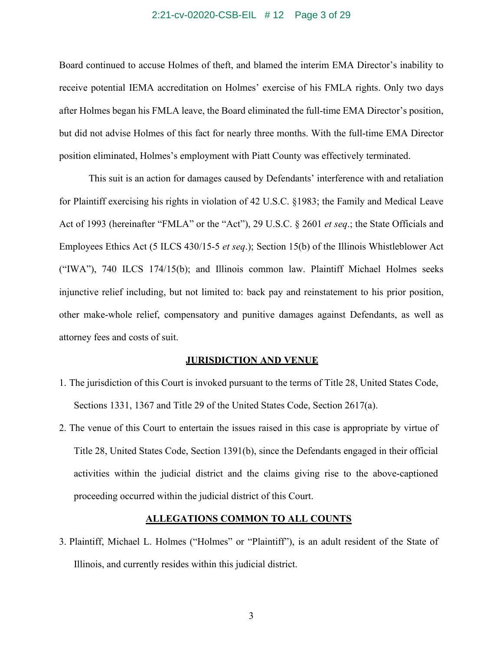#### 2:21-cv-02020-CSB-EIL # 12 Page 3 of 29

Board continued to accuse Holmes of theft, and blamed the interim EMA Director's inability to receive potential IEMA accreditation on Holmes' exercise of his FMLA rights. Only two days after Holmes began his FMLA leave, the Board eliminated the full-time EMA Director's position, but did not advise Holmes of this fact for nearly three months. With the full-time EMA Director position eliminated, Holmes's employment with Piatt County was effectively terminated.

This suit is an action for damages caused by Defendants' interference with and retaliation for Plaintiff exercising his rights in violation of 42 U.S.C. §1983; the Family and Medical Leave Act of 1993 (hereinafter "FMLA" or the "Act"), 29 U.S.C. § 2601 *et seq*.; the State Officials and Employees Ethics Act (5 ILCS 430/15-5 *et seq*.); Section 15(b) of the Illinois Whistleblower Act ("IWA"), 740 ILCS 174/15(b); and Illinois common law. Plaintiff Michael Holmes seeks injunctive relief including, but not limited to: back pay and reinstatement to his prior position, other make-whole relief, compensatory and punitive damages against Defendants, as well as attorney fees and costs of suit.

### **JURISDICTION AND VENUE**

- 1. The jurisdiction of this Court is invoked pursuant to the terms of Title 28, United States Code, Sections 1331, 1367 and Title 29 of the United States Code, Section 2617(a).
- 2. The venue of this Court to entertain the issues raised in this case is appropriate by virtue of Title 28, United States Code, Section 1391(b), since the Defendants engaged in their official activities within the judicial district and the claims giving rise to the above-captioned proceeding occurred within the judicial district of this Court.

### **ALLEGATIONS COMMON TO ALL COUNTS**

3. Plaintiff, Michael L. Holmes ("Holmes" or "Plaintiff"), is an adult resident of the State of Illinois, and currently resides within this judicial district.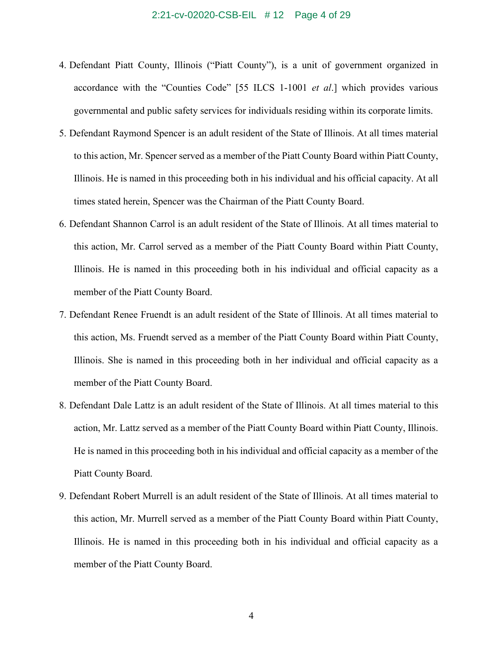- 4. Defendant Piatt County, Illinois ("Piatt County"), is a unit of government organized in accordance with the "Counties Code" [55 ILCS 1-1001 *et al*.] which provides various governmental and public safety services for individuals residing within its corporate limits.
- 5. Defendant Raymond Spencer is an adult resident of the State of Illinois. At all times material to this action, Mr. Spencer served as a member of the Piatt County Board within Piatt County, Illinois. He is named in this proceeding both in his individual and his official capacity. At all times stated herein, Spencer was the Chairman of the Piatt County Board.
- 6. Defendant Shannon Carrol is an adult resident of the State of Illinois. At all times material to this action, Mr. Carrol served as a member of the Piatt County Board within Piatt County, Illinois. He is named in this proceeding both in his individual and official capacity as a member of the Piatt County Board.
- 7. Defendant Renee Fruendt is an adult resident of the State of Illinois. At all times material to this action, Ms. Fruendt served as a member of the Piatt County Board within Piatt County, Illinois. She is named in this proceeding both in her individual and official capacity as a member of the Piatt County Board.
- 8. Defendant Dale Lattz is an adult resident of the State of Illinois. At all times material to this action, Mr. Lattz served as a member of the Piatt County Board within Piatt County, Illinois. He is named in this proceeding both in his individual and official capacity as a member of the Piatt County Board.
- 9. Defendant Robert Murrell is an adult resident of the State of Illinois. At all times material to this action, Mr. Murrell served as a member of the Piatt County Board within Piatt County, Illinois. He is named in this proceeding both in his individual and official capacity as a member of the Piatt County Board.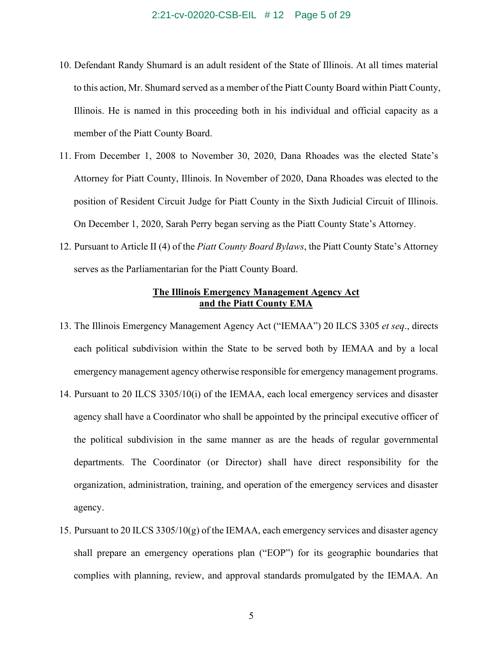- 10. Defendant Randy Shumard is an adult resident of the State of Illinois. At all times material to this action, Mr. Shumard served as a member of the Piatt County Board within Piatt County, Illinois. He is named in this proceeding both in his individual and official capacity as a member of the Piatt County Board.
- 11. From December 1, 2008 to November 30, 2020, Dana Rhoades was the elected State's Attorney for Piatt County, Illinois. In November of 2020, Dana Rhoades was elected to the position of Resident Circuit Judge for Piatt County in the Sixth Judicial Circuit of Illinois. On December 1, 2020, Sarah Perry began serving as the Piatt County State's Attorney.
- 12. Pursuant to Article II (4) of the *Piatt County Board Bylaws*, the Piatt County State's Attorney serves as the Parliamentarian for the Piatt County Board.

### **The Illinois Emergency Management Agency Act and the Piatt County EMA**

- 13. The Illinois Emergency Management Agency Act ("IEMAA") 20 ILCS 3305 *et seq*., directs each political subdivision within the State to be served both by IEMAA and by a local emergency management agency otherwise responsible for emergency management programs.
- 14. Pursuant to 20 ILCS 3305/10(i) of the IEMAA, each local emergency services and disaster agency shall have a Coordinator who shall be appointed by the principal executive officer of the political subdivision in the same manner as are the heads of regular governmental departments. The Coordinator (or Director) shall have direct responsibility for the organization, administration, training, and operation of the emergency services and disaster agency.
- 15. Pursuant to 20 ILCS  $3305/10(g)$  of the IEMAA, each emergency services and disaster agency shall prepare an emergency operations plan ("EOP") for its geographic boundaries that complies with planning, review, and approval standards promulgated by the IEMAA. An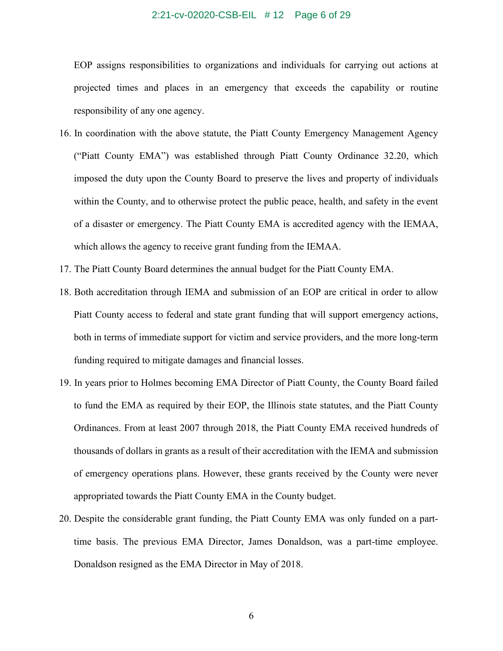#### 2:21-cv-02020-CSB-EIL # 12 Page 6 of 29

EOP assigns responsibilities to organizations and individuals for carrying out actions at projected times and places in an emergency that exceeds the capability or routine responsibility of any one agency.

- 16. In coordination with the above statute, the Piatt County Emergency Management Agency ("Piatt County EMA") was established through Piatt County Ordinance 32.20, which imposed the duty upon the County Board to preserve the lives and property of individuals within the County, and to otherwise protect the public peace, health, and safety in the event of a disaster or emergency. The Piatt County EMA is accredited agency with the IEMAA, which allows the agency to receive grant funding from the IEMAA.
- 17. The Piatt County Board determines the annual budget for the Piatt County EMA.
- 18. Both accreditation through IEMA and submission of an EOP are critical in order to allow Piatt County access to federal and state grant funding that will support emergency actions, both in terms of immediate support for victim and service providers, and the more long-term funding required to mitigate damages and financial losses.
- 19. In years prior to Holmes becoming EMA Director of Piatt County, the County Board failed to fund the EMA as required by their EOP, the Illinois state statutes, and the Piatt County Ordinances. From at least 2007 through 2018, the Piatt County EMA received hundreds of thousands of dollars in grants as a result of their accreditation with the IEMA and submission of emergency operations plans. However, these grants received by the County were never appropriated towards the Piatt County EMA in the County budget.
- 20. Despite the considerable grant funding, the Piatt County EMA was only funded on a parttime basis. The previous EMA Director, James Donaldson, was a part-time employee. Donaldson resigned as the EMA Director in May of 2018.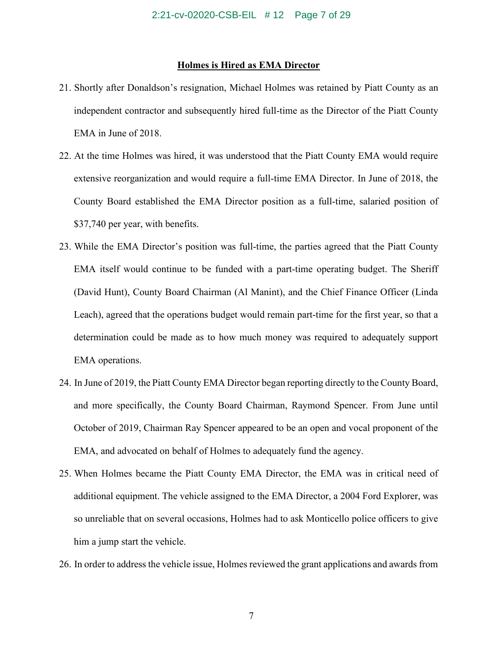#### **Holmes is Hired as EMA Director**

- 21. Shortly after Donaldson's resignation, Michael Holmes was retained by Piatt County as an independent contractor and subsequently hired full-time as the Director of the Piatt County EMA in June of 2018.
- 22. At the time Holmes was hired, it was understood that the Piatt County EMA would require extensive reorganization and would require a full-time EMA Director. In June of 2018, the County Board established the EMA Director position as a full-time, salaried position of \$37,740 per year, with benefits.
- 23. While the EMA Director's position was full-time, the parties agreed that the Piatt County EMA itself would continue to be funded with a part-time operating budget. The Sheriff (David Hunt), County Board Chairman (Al Manint), and the Chief Finance Officer (Linda Leach), agreed that the operations budget would remain part-time for the first year, so that a determination could be made as to how much money was required to adequately support EMA operations.
- 24. In June of 2019, the Piatt County EMA Director began reporting directly to the County Board, and more specifically, the County Board Chairman, Raymond Spencer. From June until October of 2019, Chairman Ray Spencer appeared to be an open and vocal proponent of the EMA, and advocated on behalf of Holmes to adequately fund the agency.
- 25. When Holmes became the Piatt County EMA Director, the EMA was in critical need of additional equipment. The vehicle assigned to the EMA Director, a 2004 Ford Explorer, was so unreliable that on several occasions, Holmes had to ask Monticello police officers to give him a jump start the vehicle.
- 26. In order to address the vehicle issue, Holmes reviewed the grant applications and awards from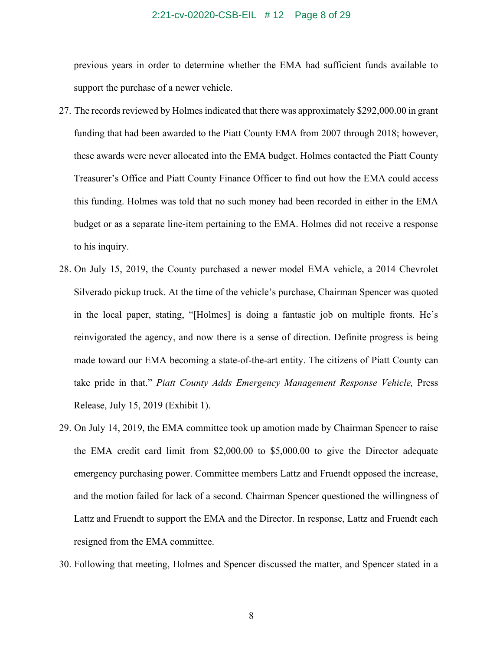#### 2:21-cv-02020-CSB-EIL # 12 Page 8 of 29

previous years in order to determine whether the EMA had sufficient funds available to support the purchase of a newer vehicle.

- 27. The records reviewed by Holmes indicated that there was approximately \$292,000.00 in grant funding that had been awarded to the Piatt County EMA from 2007 through 2018; however, these awards were never allocated into the EMA budget. Holmes contacted the Piatt County Treasurer's Office and Piatt County Finance Officer to find out how the EMA could access this funding. Holmes was told that no such money had been recorded in either in the EMA budget or as a separate line-item pertaining to the EMA. Holmes did not receive a response to his inquiry.
- 28. On July 15, 2019, the County purchased a newer model EMA vehicle, a 2014 Chevrolet Silverado pickup truck. At the time of the vehicle's purchase, Chairman Spencer was quoted in the local paper, stating, "[Holmes] is doing a fantastic job on multiple fronts. He's reinvigorated the agency, and now there is a sense of direction. Definite progress is being made toward our EMA becoming a state-of-the-art entity. The citizens of Piatt County can take pride in that." *Piatt County Adds Emergency Management Response Vehicle*, Press Release, July 15, 2019 (Exhibit 1).
- 29. On July 14, 2019, the EMA committee took up amotion made by Chairman Spencer to raise the EMA credit card limit from \$2,000.00 to \$5,000.00 to give the Director adequate emergency purchasing power. Committee members Lattz and Fruendt opposed the increase, and the motion failed for lack of a second. Chairman Spencer questioned the willingness of Lattz and Fruendt to support the EMA and the Director. In response, Lattz and Fruendt each resigned from the EMA committee.
- 30. Following that meeting, Holmes and Spencer discussed the matter, and Spencer stated in a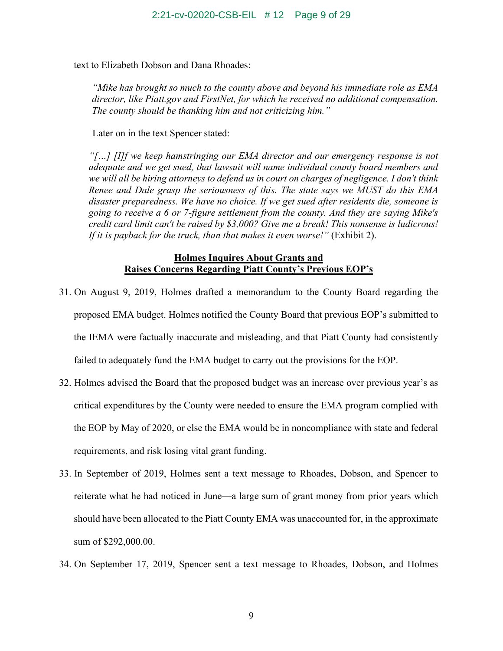text to Elizabeth Dobson and Dana Rhoades:

*"Mike has brought so much to the county above and beyond his immediate role as EMA director, like Piatt.gov and FirstNet, for which he received no additional compensation. The county should be thanking him and not criticizing him."*

Later on in the text Spencer stated:

*"[…] [I]f we keep hamstringing our EMA director and our emergency response is not adequate and we get sued, that lawsuit will name individual county board members and we will all be hiring attorneys to defend us in court on charges of negligence. I don't think Renee and Dale grasp the seriousness of this. The state says we MUST do this EMA disaster preparedness. We have no choice. If we get sued after residents die, someone is going to receive a 6 or 7-figure settlement from the county. And they are saying Mike's credit card limit can't be raised by \$3,000? Give me a break! This nonsense is ludicrous! If it is payback for the truck, than that makes it even worse!"* (Exhibit 2).

## **Holmes Inquires About Grants and Raises Concerns Regarding Piatt County's Previous EOP's**

- 31. On August 9, 2019, Holmes drafted a memorandum to the County Board regarding the proposed EMA budget. Holmes notified the County Board that previous EOP's submitted to the IEMA were factually inaccurate and misleading, and that Piatt County had consistently failed to adequately fund the EMA budget to carry out the provisions for the EOP.
- 32. Holmes advised the Board that the proposed budget was an increase over previous year's as critical expenditures by the County were needed to ensure the EMA program complied with the EOP by May of 2020, or else the EMA would be in noncompliance with state and federal requirements, and risk losing vital grant funding.
- 33. In September of 2019, Holmes sent a text message to Rhoades, Dobson, and Spencer to reiterate what he had noticed in June—a large sum of grant money from prior years which should have been allocated to the Piatt County EMA was unaccounted for, in the approximate sum of \$292,000.00.
- 34. On September 17, 2019, Spencer sent a text message to Rhoades, Dobson, and Holmes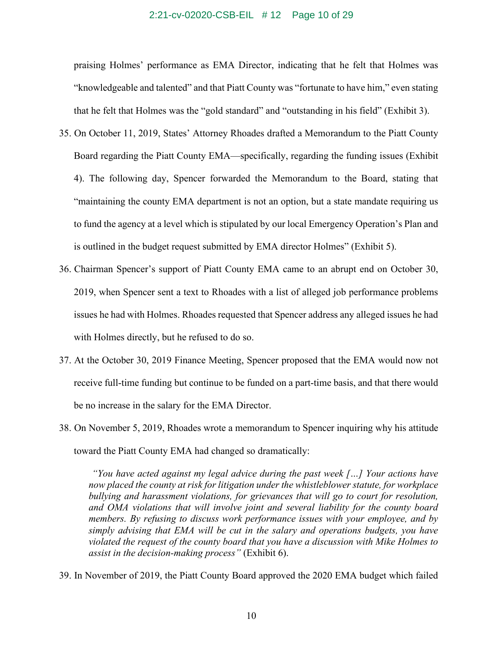### 2:21-cv-02020-CSB-EIL # 12 Page 10 of 29

praising Holmes' performance as EMA Director, indicating that he felt that Holmes was "knowledgeable and talented" and that Piatt County was "fortunate to have him," even stating that he felt that Holmes was the "gold standard" and "outstanding in his field" (Exhibit 3).

- 35. On October 11, 2019, States' Attorney Rhoades drafted a Memorandum to the Piatt County Board regarding the Piatt County EMA—specifically, regarding the funding issues (Exhibit 4). The following day, Spencer forwarded the Memorandum to the Board, stating that "maintaining the county EMA department is not an option, but a state mandate requiring us to fund the agency at a level which is stipulated by our local Emergency Operation's Plan and is outlined in the budget request submitted by EMA director Holmes" (Exhibit 5).
- 36. Chairman Spencer's support of Piatt County EMA came to an abrupt end on October 30, 2019, when Spencer sent a text to Rhoades with a list of alleged job performance problems issues he had with Holmes. Rhoades requested that Spencer address any alleged issues he had with Holmes directly, but he refused to do so.
- 37. At the October 30, 2019 Finance Meeting, Spencer proposed that the EMA would now not receive full-time funding but continue to be funded on a part-time basis, and that there would be no increase in the salary for the EMA Director.
- 38. On November 5, 2019, Rhoades wrote a memorandum to Spencer inquiring why his attitude toward the Piatt County EMA had changed so dramatically:

*"You have acted against my legal advice during the past week […] Your actions have now placed the county at risk for litigation under the whistleblower statute, for workplace bullying and harassment violations, for grievances that will go to court for resolution, and OMA violations that will involve joint and several liability for the county board members. By refusing to discuss work performance issues with your employee, and by simply advising that EMA will be cut in the salary and operations budgets, you have violated the request of the county board that you have a discussion with Mike Holmes to assist in the decision-making process"* (Exhibit 6).

39. In November of 2019, the Piatt County Board approved the 2020 EMA budget which failed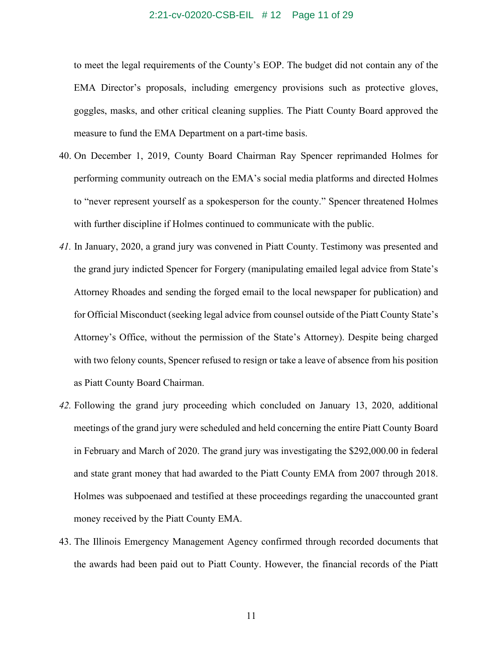#### 2:21-cv-02020-CSB-EIL # 12 Page 11 of 29

to meet the legal requirements of the County's EOP. The budget did not contain any of the EMA Director's proposals, including emergency provisions such as protective gloves, goggles, masks, and other critical cleaning supplies. The Piatt County Board approved the measure to fund the EMA Department on a part-time basis.

- 40. On December 1, 2019, County Board Chairman Ray Spencer reprimanded Holmes for performing community outreach on the EMA's social media platforms and directed Holmes to "never represent yourself as a spokesperson for the county." Spencer threatened Holmes with further discipline if Holmes continued to communicate with the public.
- *41.* In January, 2020, a grand jury was convened in Piatt County. Testimony was presented and the grand jury indicted Spencer for Forgery (manipulating emailed legal advice from State's Attorney Rhoades and sending the forged email to the local newspaper for publication) and for Official Misconduct (seeking legal advice from counsel outside of the Piatt County State's Attorney's Office, without the permission of the State's Attorney). Despite being charged with two felony counts, Spencer refused to resign or take a leave of absence from his position as Piatt County Board Chairman.
- *42.* Following the grand jury proceeding which concluded on January 13, 2020, additional meetings of the grand jury were scheduled and held concerning the entire Piatt County Board in February and March of 2020. The grand jury was investigating the \$292,000.00 in federal and state grant money that had awarded to the Piatt County EMA from 2007 through 2018. Holmes was subpoenaed and testified at these proceedings regarding the unaccounted grant money received by the Piatt County EMA.
- 43. The Illinois Emergency Management Agency confirmed through recorded documents that the awards had been paid out to Piatt County. However, the financial records of the Piatt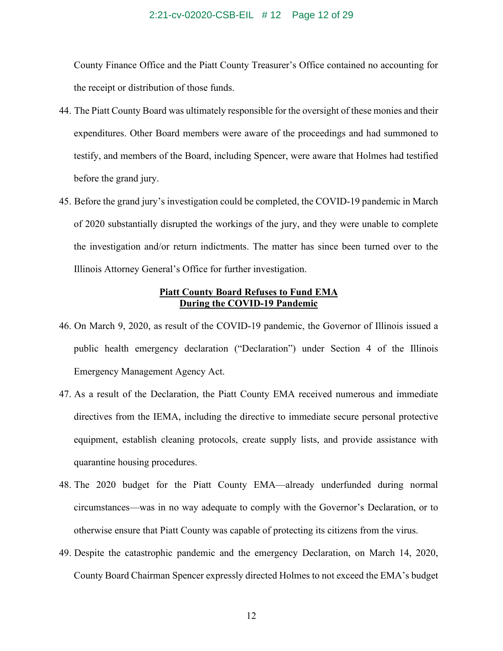### 2:21-cv-02020-CSB-EIL # 12 Page 12 of 29

County Finance Office and the Piatt County Treasurer's Office contained no accounting for the receipt or distribution of those funds.

- 44. The Piatt County Board was ultimately responsible for the oversight of these monies and their expenditures. Other Board members were aware of the proceedings and had summoned to testify, and members of the Board, including Spencer, were aware that Holmes had testified before the grand jury.
- 45. Before the grand jury's investigation could be completed, the COVID-19 pandemic in March of 2020 substantially disrupted the workings of the jury, and they were unable to complete the investigation and/or return indictments. The matter has since been turned over to the Illinois Attorney General's Office for further investigation.

### **Piatt County Board Refuses to Fund EMA During the COVID-19 Pandemic**

- 46. On March 9, 2020, as result of the COVID-19 pandemic, the Governor of Illinois issued a public health emergency declaration ("Declaration") under Section 4 of the Illinois Emergency Management Agency Act.
- 47. As a result of the Declaration, the Piatt County EMA received numerous and immediate directives from the IEMA, including the directive to immediate secure personal protective equipment, establish cleaning protocols, create supply lists, and provide assistance with quarantine housing procedures.
- 48. The 2020 budget for the Piatt County EMA—already underfunded during normal circumstances—was in no way adequate to comply with the Governor's Declaration, or to otherwise ensure that Piatt County was capable of protecting its citizens from the virus.
- 49. Despite the catastrophic pandemic and the emergency Declaration, on March 14, 2020, County Board Chairman Spencer expressly directed Holmes to not exceed the EMA's budget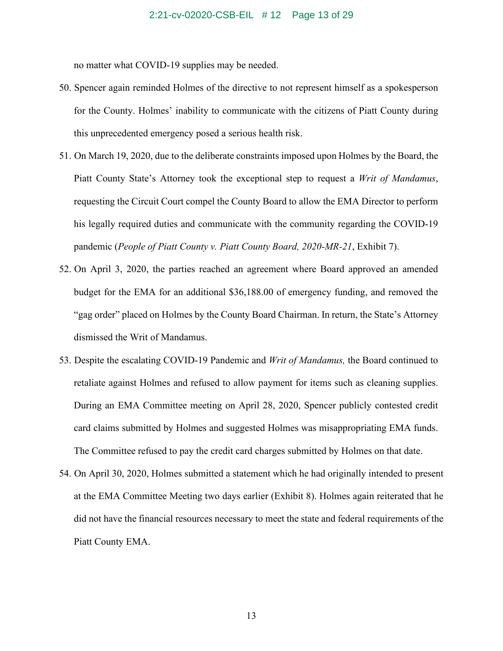no matter what COVID-19 supplies may be needed.

- 50. Spencer again reminded Holmes of the directive to not represent himself as a spokesperson for the County. Holmes' inability to communicate with the citizens of Piatt County during this unprecedented emergency posed a serious health risk.
- 51. On March 19, 2020, due to the deliberate constraints imposed upon Holmes by the Board, the Piatt County State's Attorney took the exceptional step to request a *Writ of Mandamus*, requesting the Circuit Court compel the County Board to allow the EMA Director to perform his legally required duties and communicate with the community regarding the COVID-19 pandemic (*People of Piatt County v. Piatt County Board, 2020-MR-21*, Exhibit 7).
- 52. On April 3, 2020, the parties reached an agreement where Board approved an amended budget for the EMA for an additional \$36,188.00 of emergency funding, and removed the "gag order" placed on Holmes by the County Board Chairman. In return, the State's Attorney dismissed the Writ of Mandamus.
- 53. Despite the escalating COVID-19 Pandemic and *Writ of Mandamus,* the Board continued to retaliate against Holmes and refused to allow payment for items such as cleaning supplies. During an EMA Committee meeting on April 28, 2020, Spencer publicly contested credit card claims submitted by Holmes and suggested Holmes was misappropriating EMA funds. The Committee refused to pay the credit card charges submitted by Holmes on that date.
- 54. On April 30, 2020, Holmes submitted a statement which he had originally intended to present at the EMA Committee Meeting two days earlier (Exhibit 8). Holmes again reiterated that he did not have the financial resources necessary to meet the state and federal requirements of the Piatt County EMA.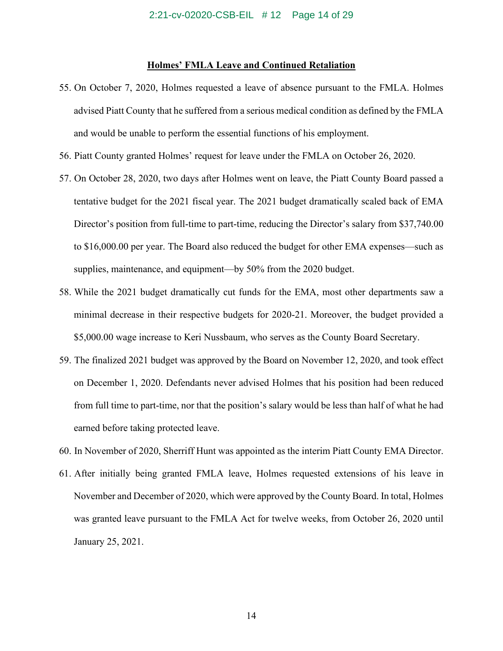### **Holmes' FMLA Leave and Continued Retaliation**

- 55. On October 7, 2020, Holmes requested a leave of absence pursuant to the FMLA. Holmes advised Piatt County that he suffered from a serious medical condition as defined by the FMLA and would be unable to perform the essential functions of his employment.
- 56. Piatt County granted Holmes' request for leave under the FMLA on October 26, 2020.
- 57. On October 28, 2020, two days after Holmes went on leave, the Piatt County Board passed a tentative budget for the 2021 fiscal year. The 2021 budget dramatically scaled back of EMA Director's position from full-time to part-time, reducing the Director's salary from \$37,740.00 to \$16,000.00 per year. The Board also reduced the budget for other EMA expenses—such as supplies, maintenance, and equipment—by 50% from the 2020 budget.
- 58. While the 2021 budget dramatically cut funds for the EMA, most other departments saw a minimal decrease in their respective budgets for 2020-21. Moreover, the budget provided a \$5,000.00 wage increase to Keri Nussbaum, who serves as the County Board Secretary.
- 59. The finalized 2021 budget was approved by the Board on November 12, 2020, and took effect on December 1, 2020. Defendants never advised Holmes that his position had been reduced from full time to part-time, nor that the position's salary would be less than half of what he had earned before taking protected leave.
- 60. In November of 2020, Sherriff Hunt was appointed as the interim Piatt County EMA Director.
- 61. After initially being granted FMLA leave, Holmes requested extensions of his leave in November and December of 2020, which were approved by the County Board. In total, Holmes was granted leave pursuant to the FMLA Act for twelve weeks, from October 26, 2020 until January 25, 2021.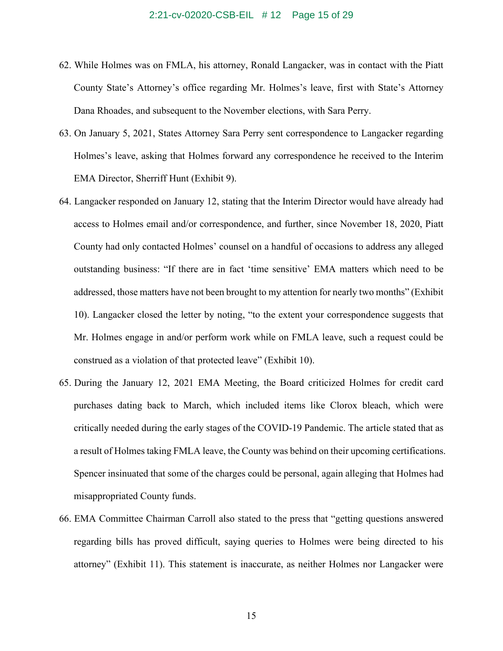- 62. While Holmes was on FMLA, his attorney, Ronald Langacker, was in contact with the Piatt County State's Attorney's office regarding Mr. Holmes's leave, first with State's Attorney Dana Rhoades, and subsequent to the November elections, with Sara Perry.
- 63. On January 5, 2021, States Attorney Sara Perry sent correspondence to Langacker regarding Holmes's leave, asking that Holmes forward any correspondence he received to the Interim EMA Director, Sherriff Hunt (Exhibit 9).
- 64. Langacker responded on January 12, stating that the Interim Director would have already had access to Holmes email and/or correspondence, and further, since November 18, 2020, Piatt County had only contacted Holmes' counsel on a handful of occasions to address any alleged outstanding business: "If there are in fact 'time sensitive' EMA matters which need to be addressed, those matters have not been brought to my attention for nearly two months" (Exhibit 10). Langacker closed the letter by noting, "to the extent your correspondence suggests that Mr. Holmes engage in and/or perform work while on FMLA leave, such a request could be construed as a violation of that protected leave" (Exhibit 10).
- 65. During the January 12, 2021 EMA Meeting, the Board criticized Holmes for credit card purchases dating back to March, which included items like Clorox bleach, which were critically needed during the early stages of the COVID-19 Pandemic. The article stated that as a result of Holmes taking FMLA leave, the County was behind on their upcoming certifications. Spencer insinuated that some of the charges could be personal, again alleging that Holmes had misappropriated County funds.
- 66. EMA Committee Chairman Carroll also stated to the press that "getting questions answered regarding bills has proved difficult, saying queries to Holmes were being directed to his attorney" (Exhibit 11). This statement is inaccurate, as neither Holmes nor Langacker were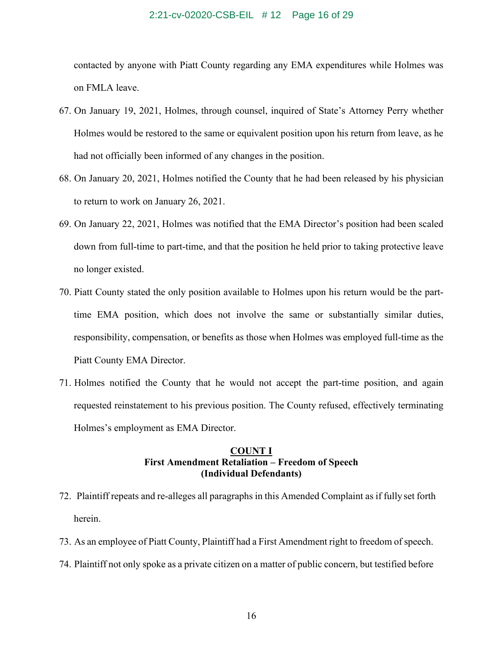#### 2:21-cv-02020-CSB-EIL # 12 Page 16 of 29

contacted by anyone with Piatt County regarding any EMA expenditures while Holmes was on FMLA leave.

- 67. On January 19, 2021, Holmes, through counsel, inquired of State's Attorney Perry whether Holmes would be restored to the same or equivalent position upon his return from leave, as he had not officially been informed of any changes in the position.
- 68. On January 20, 2021, Holmes notified the County that he had been released by his physician to return to work on January 26, 2021.
- 69. On January 22, 2021, Holmes was notified that the EMA Director's position had been scaled down from full-time to part-time, and that the position he held prior to taking protective leave no longer existed.
- 70. Piatt County stated the only position available to Holmes upon his return would be the parttime EMA position, which does not involve the same or substantially similar duties, responsibility, compensation, or benefits as those when Holmes was employed full-time as the Piatt County EMA Director.
- 71. Holmes notified the County that he would not accept the part-time position, and again requested reinstatement to his previous position. The County refused, effectively terminating Holmes's employment as EMA Director.

### **COUNT I First Amendment Retaliation – Freedom of Speech (Individual Defendants)**

- 72. Plaintiff repeats and re-alleges all paragraphs in this Amended Complaint as if fully set forth herein.
- 73. As an employee of Piatt County, Plaintiff had a First Amendment right to freedom of speech.
- 74. Plaintiff not only spoke as a private citizen on a matter of public concern, but testified before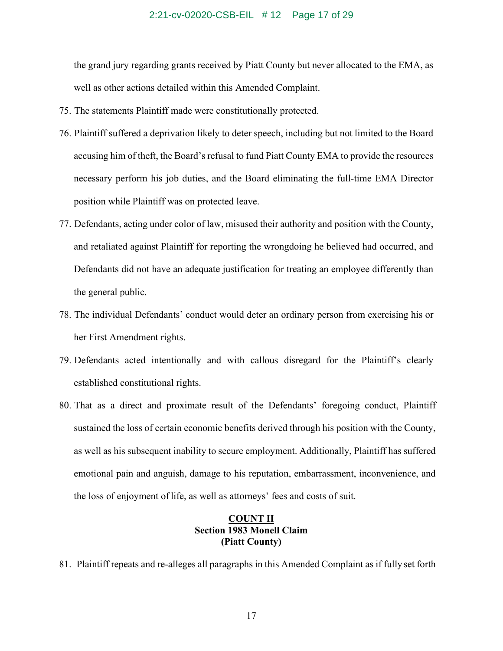the grand jury regarding grants received by Piatt County but never allocated to the EMA, as well as other actions detailed within this Amended Complaint.

- 75. The statements Plaintiff made were constitutionally protected.
- 76. Plaintiff suffered a deprivation likely to deter speech, including but not limited to the Board accusing him of theft, the Board's refusal to fund Piatt County EMA to provide the resources necessary perform his job duties, and the Board eliminating the full-time EMA Director position while Plaintiff was on protected leave.
- 77. Defendants, acting under color of law, misused their authority and position with the County, and retaliated against Plaintiff for reporting the wrongdoing he believed had occurred, and Defendants did not have an adequate justification for treating an employee differently than the general public.
- 78. The individual Defendants' conduct would deter an ordinary person from exercising his or her First Amendment rights.
- 79. Defendants acted intentionally and with callous disregard for the Plaintiff's clearly established constitutional rights.
- 80. That as a direct and proximate result of the Defendants' foregoing conduct, Plaintiff sustained the loss of certain economic benefits derived through his position with the County, as well as his subsequent inability to secure employment. Additionally, Plaintiff has suffered emotional pain and anguish, damage to his reputation, embarrassment, inconvenience, and the loss of enjoyment of life, as well as attorneys' fees and costs of suit.

# **COUNT II Section 1983 Monell Claim (Piatt County)**

81. Plaintiff repeats and re-alleges all paragraphs in this Amended Complaint as if fully set forth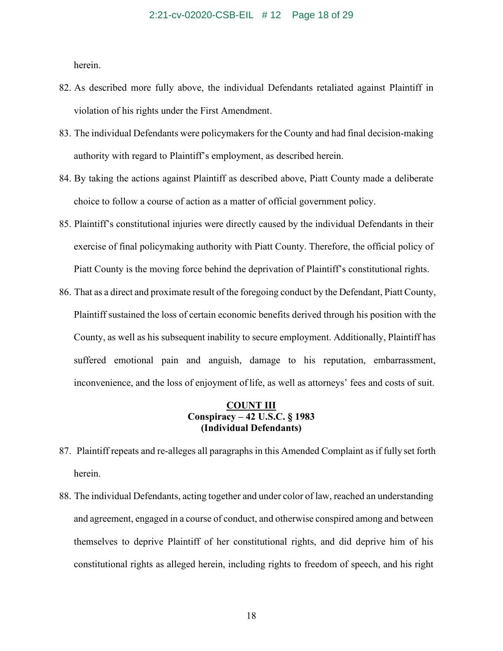herein.

- 82. As described more fully above, the individual Defendants retaliated against Plaintiff in violation of his rights under the First Amendment.
- 83. The individual Defendants were policymakers for the County and had final decision-making authority with regard to Plaintiff's employment, as described herein.
- 84. By taking the actions against Plaintiff as described above, Piatt County made a deliberate choice to follow a course of action as a matter of official government policy.
- 85. Plaintiff's constitutional injuries were directly caused by the individual Defendants in their exercise of final policymaking authority with Piatt County. Therefore, the official policy of Piatt County is the moving force behind the deprivation of Plaintiff's constitutional rights.
- 86. That as a direct and proximate result of the foregoing conduct by the Defendant, Piatt County, Plaintiff sustained the loss of certain economic benefits derived through his position with the County, as well as his subsequent inability to secure employment. Additionally, Plaintiff has suffered emotional pain and anguish, damage to his reputation, embarrassment, inconvenience, and the loss of enjoyment of life, as well as attorneys' fees and costs of suit.

# **COUNT III Conspiracy – 42 U.S.C. § 1983 (Individual Defendants)**

- 87. Plaintiff repeats and re-alleges all paragraphs in this Amended Complaint as if fully set forth herein.
- 88. The individual Defendants, acting together and under color of law, reached an understanding and agreement, engaged in a course of conduct, and otherwise conspired among and between themselves to deprive Plaintiff of her constitutional rights, and did deprive him of his constitutional rights as alleged herein, including rights to freedom of speech, and his right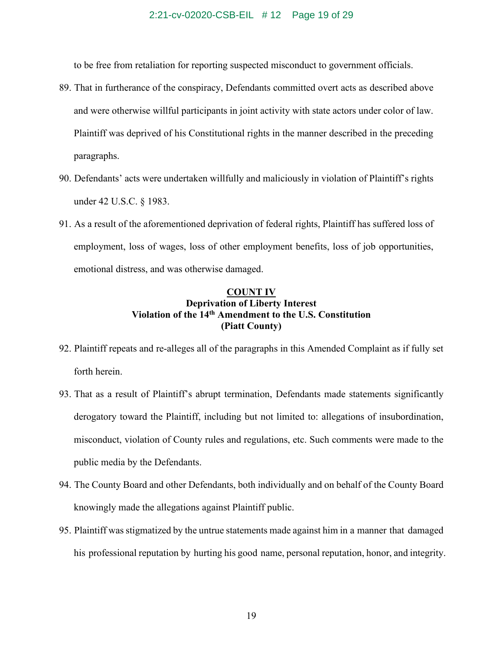### 2:21-cv-02020-CSB-EIL # 12 Page 19 of 29

to be free from retaliation for reporting suspected misconduct to government officials.

- 89. That in furtherance of the conspiracy, Defendants committed overt acts as described above and were otherwise willful participants in joint activity with state actors under color of law. Plaintiff was deprived of his Constitutional rights in the manner described in the preceding paragraphs.
- 90. Defendants' acts were undertaken willfully and maliciously in violation of Plaintiff's rights under 42 U.S.C. § 1983.
- 91. As a result of the aforementioned deprivation of federal rights, Plaintiff has suffered loss of employment, loss of wages, loss of other employment benefits, loss of job opportunities, emotional distress, and was otherwise damaged.

# **COUNT IV Deprivation of Liberty Interest Violation of the 14th Amendment to the U.S. Constitution (Piatt County)**

- 92. Plaintiff repeats and re-alleges all of the paragraphs in this Amended Complaint as if fully set forth herein.
- 93. That as a result of Plaintiff's abrupt termination, Defendants made statements significantly derogatory toward the Plaintiff, including but not limited to: allegations of insubordination, misconduct, violation of County rules and regulations, etc. Such comments were made to the public media by the Defendants.
- 94. The County Board and other Defendants, both individually and on behalf of the County Board knowingly made the allegations against Plaintiff public.
- 95. Plaintiff was stigmatized by the untrue statements made against him in a manner that damaged his professional reputation by hurting his good name, personal reputation, honor, and integrity.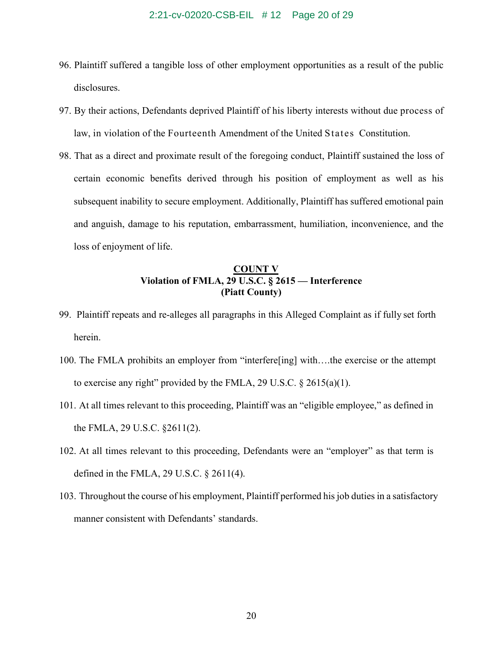- 96. Plaintiff suffered a tangible loss of other employment opportunities as a result of the public disclosures.
- 97. By their actions, Defendants deprived Plaintiff of his liberty interests without due process of law, in violation of the Fourteenth Amendment of the United States Constitution.
- 98. That as a direct and proximate result of the foregoing conduct, Plaintiff sustained the loss of certain economic benefits derived through his position of employment as well as his subsequent inability to secure employment. Additionally, Plaintiff has suffered emotional pain and anguish, damage to his reputation, embarrassment, humiliation, inconvenience, and the loss of enjoyment of life.

# **COUNT V Violation of FMLA, 29 U.S.C. § 2615 — Interference (Piatt County)**

- 99. Plaintiff repeats and re-alleges all paragraphs in this Alleged Complaint as if fully set forth herein.
- 100. The FMLA prohibits an employer from "interfere[ing] with….the exercise or the attempt to exercise any right" provided by the FMLA, 29 U.S.C.  $\S 2615(a)(1)$ .
- 101. At all times relevant to this proceeding, Plaintiff was an "eligible employee," as defined in the FMLA, 29 U.S.C. §2611(2).
- 102. At all times relevant to this proceeding, Defendants were an "employer" as that term is defined in the FMLA, 29 U.S.C. § 2611(4).
- 103. Throughout the course of his employment, Plaintiff performed his job duties in a satisfactory manner consistent with Defendants' standards.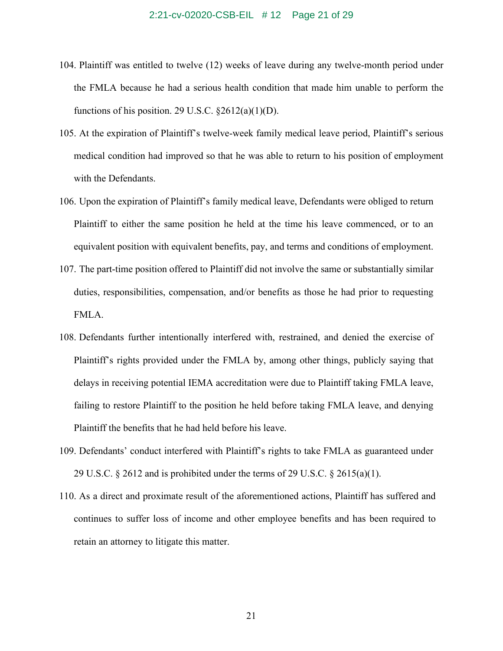- 104. Plaintiff was entitled to twelve (12) weeks of leave during any twelve-month period under the FMLA because he had a serious health condition that made him unable to perform the functions of his position. 29 U.S.C.  $\S2612(a)(1)(D)$ .
- 105. At the expiration of Plaintiff's twelve-week family medical leave period, Plaintiff's serious medical condition had improved so that he was able to return to his position of employment with the Defendants.
- 106. Upon the expiration of Plaintiff's family medical leave, Defendants were obliged to return Plaintiff to either the same position he held at the time his leave commenced, or to an equivalent position with equivalent benefits, pay, and terms and conditions of employment.
- 107. The part-time position offered to Plaintiff did not involve the same or substantially similar duties, responsibilities, compensation, and/or benefits as those he had prior to requesting FMLA.
- 108. Defendants further intentionally interfered with, restrained, and denied the exercise of Plaintiff's rights provided under the FMLA by, among other things, publicly saying that delays in receiving potential IEMA accreditation were due to Plaintiff taking FMLA leave, failing to restore Plaintiff to the position he held before taking FMLA leave, and denying Plaintiff the benefits that he had held before his leave.
- 109. Defendants' conduct interfered with Plaintiff's rights to take FMLA as guaranteed under 29 U.S.C.  $\S 2612$  and is prohibited under the terms of 29 U.S.C.  $\S 2615(a)(1)$ .
- 110. As a direct and proximate result of the aforementioned actions, Plaintiff has suffered and continues to suffer loss of income and other employee benefits and has been required to retain an attorney to litigate this matter.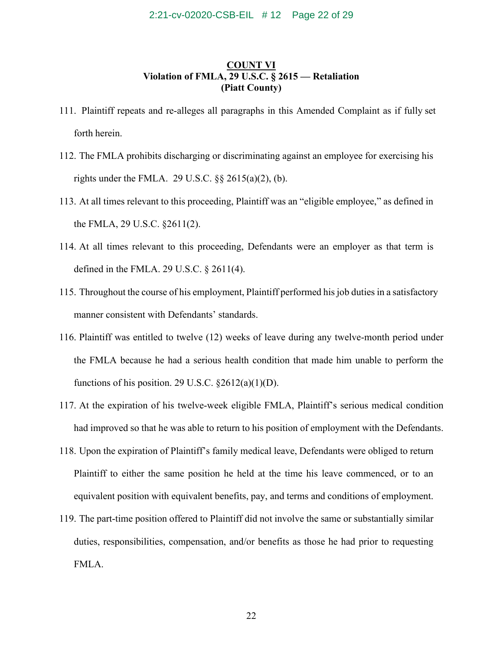### 2:21-cv-02020-CSB-EIL # 12 Page 22 of 29

# **COUNT VI Violation of FMLA, 29 U.S.C. § 2615 — Retaliation (Piatt County)**

- 111. Plaintiff repeats and re-alleges all paragraphs in this Amended Complaint as if fully set forth herein.
- 112. The FMLA prohibits discharging or discriminating against an employee for exercising his rights under the FMLA. 29 U.S.C.  $\S$ § 2615(a)(2), (b).
- 113. At all times relevant to this proceeding, Plaintiff was an "eligible employee," as defined in the FMLA, 29 U.S.C. §2611(2).
- 114. At all times relevant to this proceeding, Defendants were an employer as that term is defined in the FMLA. 29 U.S.C. § 2611(4).
- 115. Throughout the course of his employment, Plaintiff performed his job duties in a satisfactory manner consistent with Defendants' standards.
- 116. Plaintiff was entitled to twelve (12) weeks of leave during any twelve-month period under the FMLA because he had a serious health condition that made him unable to perform the functions of his position. 29 U.S.C.  $\S2612(a)(1)(D)$ .
- 117. At the expiration of his twelve-week eligible FMLA, Plaintiff's serious medical condition had improved so that he was able to return to his position of employment with the Defendants.
- 118. Upon the expiration of Plaintiff's family medical leave, Defendants were obliged to return Plaintiff to either the same position he held at the time his leave commenced, or to an equivalent position with equivalent benefits, pay, and terms and conditions of employment.
- 119. The part-time position offered to Plaintiff did not involve the same or substantially similar duties, responsibilities, compensation, and/or benefits as those he had prior to requesting FMLA.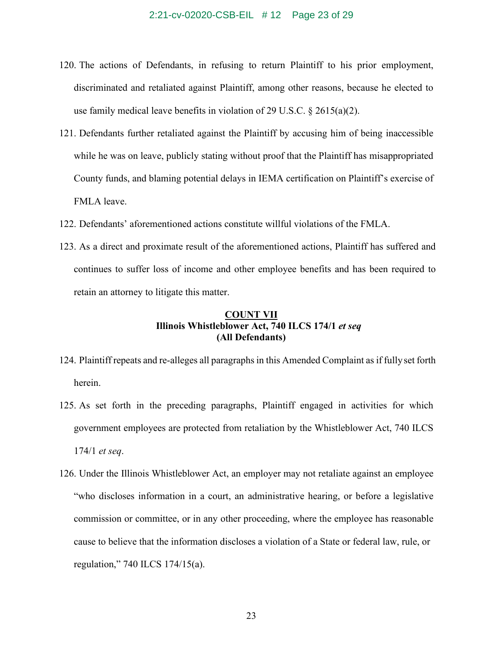- 120. The actions of Defendants, in refusing to return Plaintiff to his prior employment, discriminated and retaliated against Plaintiff, among other reasons, because he elected to use family medical leave benefits in violation of 29 U.S.C. § 2615(a)(2).
- 121. Defendants further retaliated against the Plaintiff by accusing him of being inaccessible while he was on leave, publicly stating without proof that the Plaintiff has misappropriated County funds, and blaming potential delays in IEMA certification on Plaintiff's exercise of FMLA leave.
- 122. Defendants' aforementioned actions constitute willful violations of the FMLA.
- 123. As a direct and proximate result of the aforementioned actions, Plaintiff has suffered and continues to suffer loss of income and other employee benefits and has been required to retain an attorney to litigate this matter.

### **COUNT VII Illinois Whistleblower Act, 740 ILCS 174/1** *et seq* **(All Defendants)**

- 124. Plaintiff repeats and re-alleges all paragraphs in this Amended Complaint as if fullyset forth herein.
- 125. As set forth in the preceding paragraphs, Plaintiff engaged in activities for which government employees are protected from retaliation by the Whistleblower Act, 740 ILCS 174/1 *et seq*.
- 126. Under the Illinois Whistleblower Act, an employer may not retaliate against an employee "who discloses information in a court, an administrative hearing, or before a legislative commission or committee, or in any other proceeding, where the employee has reasonable cause to believe that the information discloses a violation of a State or federal law, rule, or regulation," 740 ILCS 174/15(a).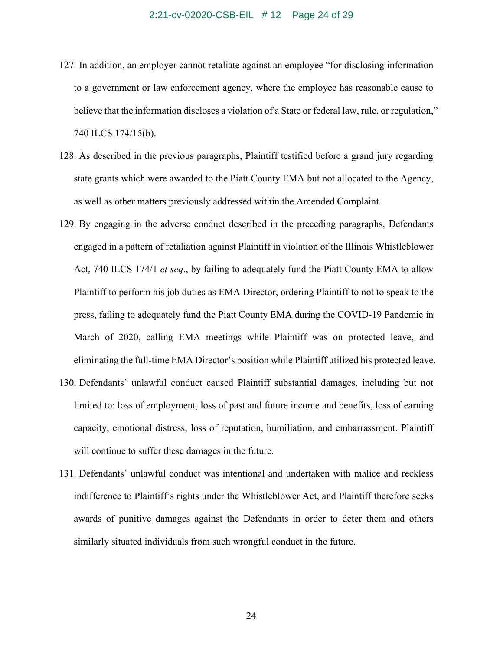#### 2:21-cv-02020-CSB-EIL # 12 Page 24 of 29

- 127. In addition, an employer cannot retaliate against an employee "for disclosing information to a government or law enforcement agency, where the employee has reasonable cause to believe that the information discloses a violation of a State or federal law, rule, or regulation," 740 ILCS 174/15(b).
- 128. As described in the previous paragraphs, Plaintiff testified before a grand jury regarding state grants which were awarded to the Piatt County EMA but not allocated to the Agency, as well as other matters previously addressed within the Amended Complaint.
- 129. By engaging in the adverse conduct described in the preceding paragraphs, Defendants engaged in a pattern of retaliation against Plaintiff in violation of the Illinois Whistleblower Act, 740 ILCS 174/1 *et seq*., by failing to adequately fund the Piatt County EMA to allow Plaintiff to perform his job duties as EMA Director, ordering Plaintiff to not to speak to the press, failing to adequately fund the Piatt County EMA during the COVID-19 Pandemic in March of 2020, calling EMA meetings while Plaintiff was on protected leave, and eliminating the full-time EMA Director's position while Plaintiff utilized his protected leave.
- 130. Defendants' unlawful conduct caused Plaintiff substantial damages, including but not limited to: loss of employment, loss of past and future income and benefits, loss of earning capacity, emotional distress, loss of reputation, humiliation, and embarrassment. Plaintiff will continue to suffer these damages in the future.
- 131. Defendants' unlawful conduct was intentional and undertaken with malice and reckless indifference to Plaintiff's rights under the Whistleblower Act, and Plaintiff therefore seeks awards of punitive damages against the Defendants in order to deter them and others similarly situated individuals from such wrongful conduct in the future.

24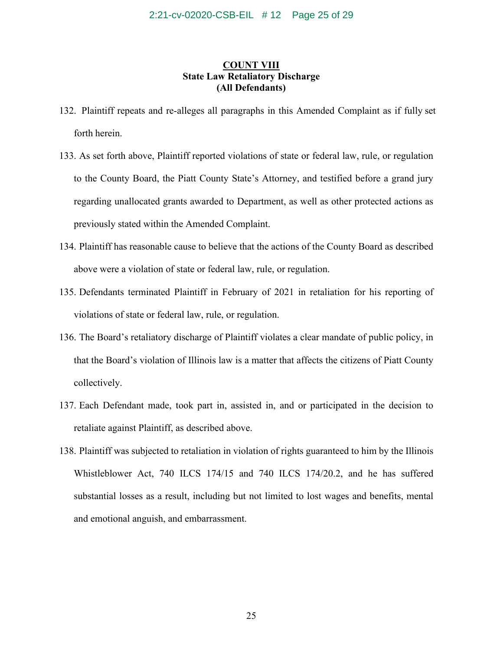# **COUNT VIII State Law Retaliatory Discharge (All Defendants)**

- 132. Plaintiff repeats and re-alleges all paragraphs in this Amended Complaint as if fully set forth herein.
- 133. As set forth above, Plaintiff reported violations of state or federal law, rule, or regulation to the County Board, the Piatt County State's Attorney, and testified before a grand jury regarding unallocated grants awarded to Department, as well as other protected actions as previously stated within the Amended Complaint.
- 134. Plaintiff has reasonable cause to believe that the actions of the County Board as described above were a violation of state or federal law, rule, or regulation.
- 135. Defendants terminated Plaintiff in February of 2021 in retaliation for his reporting of violations of state or federal law, rule, or regulation.
- 136. The Board's retaliatory discharge of Plaintiff violates a clear mandate of public policy, in that the Board's violation of Illinois law is a matter that affects the citizens of Piatt County collectively.
- 137. Each Defendant made, took part in, assisted in, and or participated in the decision to retaliate against Plaintiff, as described above.
- 138. Plaintiff was subjected to retaliation in violation of rights guaranteed to him by the Illinois Whistleblower Act, 740 ILCS 174/15 and 740 ILCS 174/20.2, and he has suffered substantial losses as a result, including but not limited to lost wages and benefits, mental and emotional anguish, and embarrassment.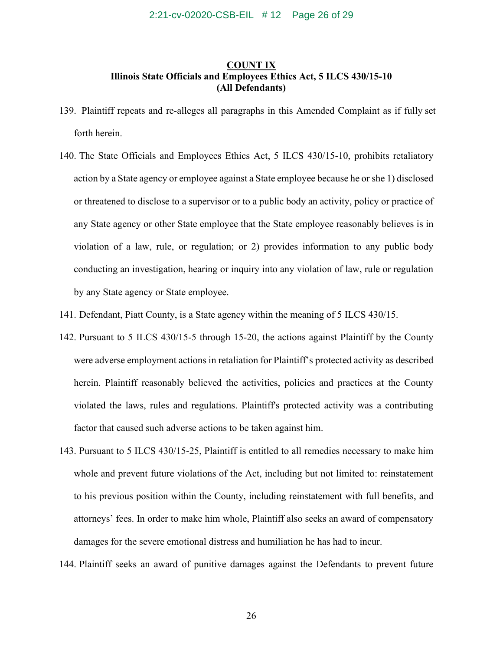### 2:21-cv-02020-CSB-EIL # 12 Page 26 of 29

# **COUNT IX Illinois State Officials and Employees Ethics Act, 5 ILCS 430/15-10 (All Defendants)**

- 139. Plaintiff repeats and re-alleges all paragraphs in this Amended Complaint as if fully set forth herein.
- 140. The State Officials and Employees Ethics Act, 5 ILCS 430/15-10, prohibits retaliatory action by a State agency or employee against a State employee because he or she 1) disclosed or threatened to disclose to a supervisor or to a public body an activity, policy or practice of any State agency or other State employee that the State employee reasonably believes is in violation of a law, rule, or regulation; or 2) provides information to any public body conducting an investigation, hearing or inquiry into any violation of law, rule or regulation by any State agency or State employee.
- 141. Defendant, Piatt County, is a State agency within the meaning of 5 ILCS 430/15.
- 142. Pursuant to 5 ILCS 430/15-5 through 15-20, the actions against Plaintiff by the County were adverse employment actions in retaliation for Plaintiff's protected activity as described herein. Plaintiff reasonably believed the activities, policies and practices at the County violated the laws, rules and regulations. Plaintiff's protected activity was a contributing factor that caused such adverse actions to be taken against him.
- 143. Pursuant to 5 ILCS 430/15-25, Plaintiff is entitled to all remedies necessary to make him whole and prevent future violations of the Act, including but not limited to: reinstatement to his previous position within the County, including reinstatement with full benefits, and attorneys' fees. In order to make him whole, Plaintiff also seeks an award of compensatory damages for the severe emotional distress and humiliation he has had to incur.
- 144. Plaintiff seeks an award of punitive damages against the Defendants to prevent future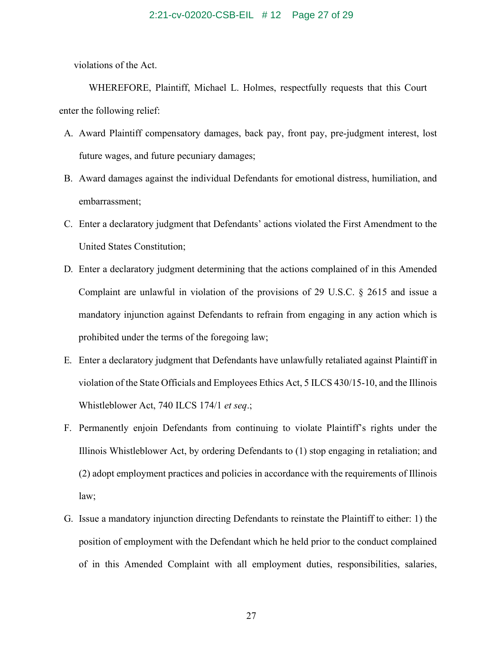### 2:21-cv-02020-CSB-EIL # 12 Page 27 of 29

violations of the Act.

WHEREFORE, Plaintiff, Michael L. Holmes, respectfully requests that this Court enter the following relief:

- A. Award Plaintiff compensatory damages, back pay, front pay, pre-judgment interest, lost future wages, and future pecuniary damages;
- B. Award damages against the individual Defendants for emotional distress, humiliation, and embarrassment;
- C. Enter a declaratory judgment that Defendants' actions violated the First Amendment to the United States Constitution;
- D. Enter a declaratory judgment determining that the actions complained of in this Amended Complaint are unlawful in violation of the provisions of 29 U.S.C. § 2615 and issue a mandatory injunction against Defendants to refrain from engaging in any action which is prohibited under the terms of the foregoing law;
- E. Enter a declaratory judgment that Defendants have unlawfully retaliated against Plaintiff in violation of the State Officials and Employees Ethics Act, 5 ILCS 430/15-10, and the Illinois Whistleblower Act, 740 ILCS 174/1 *et seq*.;
- F. Permanently enjoin Defendants from continuing to violate Plaintiff's rights under the Illinois Whistleblower Act, by ordering Defendants to (1) stop engaging in retaliation; and (2) adopt employment practices and policies in accordance with the requirements of Illinois law;
- G. Issue a mandatory injunction directing Defendants to reinstate the Plaintiff to either: 1) the position of employment with the Defendant which he held prior to the conduct complained of in this Amended Complaint with all employment duties, responsibilities, salaries,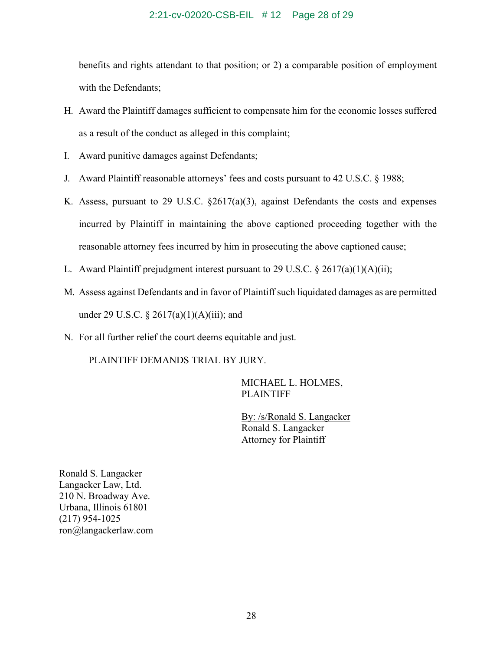### 2:21-cv-02020-CSB-EIL # 12 Page 28 of 29

benefits and rights attendant to that position; or 2) a comparable position of employment with the Defendants;

- H. Award the Plaintiff damages sufficient to compensate him for the economic losses suffered as a result of the conduct as alleged in this complaint;
- I. Award punitive damages against Defendants;
- J. Award Plaintiff reasonable attorneys' fees and costs pursuant to 42 U.S.C. § 1988;
- K. Assess, pursuant to 29 U.S.C.  $\S2617(a)(3)$ , against Defendants the costs and expenses incurred by Plaintiff in maintaining the above captioned proceeding together with the reasonable attorney fees incurred by him in prosecuting the above captioned cause;
- L. Award Plaintiff prejudgment interest pursuant to 29 U.S.C.  $\S 2617(a)(1)(A)(ii)$ ;
- M. Assess against Defendants and in favor of Plaintiff such liquidated damages as are permitted under 29 U.S.C.  $\S 2617(a)(1)(A)(iii)$ ; and
- N. For all further relief the court deems equitable and just.

PLAINTIFF DEMANDS TRIAL BY JURY.

MICHAEL L. HOLMES, PLAINTIFF

By: /s/Ronald S. Langacker Ronald S. Langacker Attorney for Plaintiff

Ronald S. Langacker Langacker Law, Ltd. 210 N. Broadway Ave. Urbana, Illinois 61801 (217) 954-1025 ron@langackerlaw.com